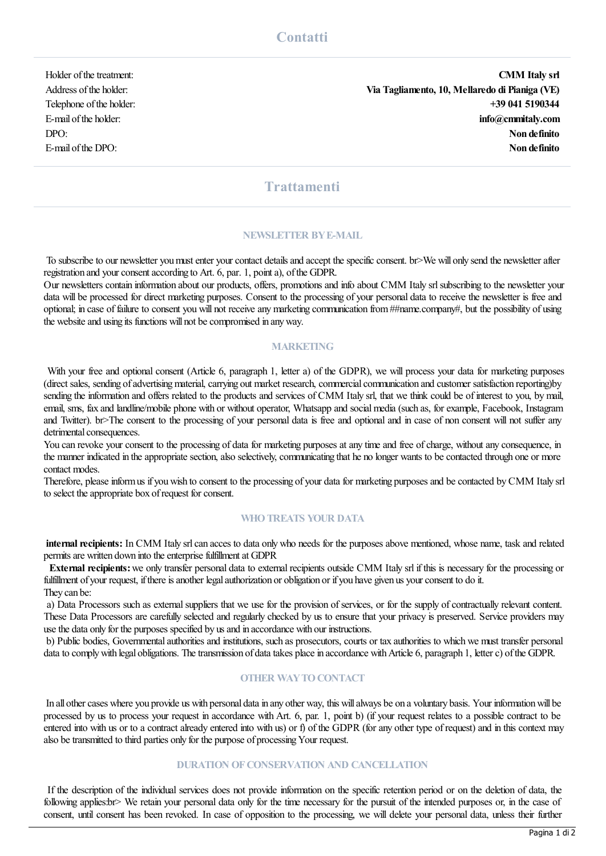Holder of the treatment: CMM Italy srl Address ofthe holder: Via Tagliamento, 10, Mellaredo di Pianiga (VE) Telephone of the holder:  $+39\,041\,5190344$ E-mail of the holder: **info@cmmitaly.com** info@cmmitaly.com DPO: Non definito E-mail of the DPO: Non definito

# **Trattamenti**

## NEWSLETTER BY E-MAIL

To subscribe to our newsletter you must enter your contact details and accept the specific consent. br>We will only send the newsletter after registration and your consent according to Art. 6, par. 1, point a), of the GDPR.

Our newsletters contain information about our products, offers, promotions and info about CMM Italy srlsubscribing to the newsletter your data will be processed for direct marketing purposes. Consent to the processing of your personal data to receive the newsletter is free and optional; in case of failure to consent you will not receive anymarketing communication from##name.company#, but the possibility of using the website and using its functions will not be compromised in any way.

#### **MARKETING**

With your free and optional consent (Article 6, paragraph 1, letter a) of the GDPR), we will process your data for marketing purposes (direct sales, sending of advertising material, carrying out market research, commercial communication and customer satisfaction reporting)by sending the information and offers related to the products and services of CMM Italy srl, that we think could be of interest to you, bymail, email, sms, fax and landline/mobile phone with or without operator, Whatsapp and socialmedia (such as, forexample, Facebook, Instagram and Twitter). br>The consent to the processing of your personal data is free and optional and in case of non consent will not suffer any detrimental consequences.

You can revoke your consent to the processing of data for marketing purposes at any time and free of charge, without any consequence, in the manner indicated in the appropriate section, also selectively, communicating that he no longer wants to be contacted through one or more contact modes.

Therefore, please inform us if you wish to consent to the processing of your data for marketing purposes and be contacted by CMM Italy srl to select the appropriate box of request for consent.

#### WHO TREATS YOUR DATA

internal recipients: In CMM Italy srl can acces to data only who needs for the purposes above mentioned, whose name, task and related permits are written down into the enterprise fulfillment at GDPR

External recipients:we only transfer personal data to external recipients outside CMM Italy srl if this is necessary for the processing or fulfillment of your request, if there is another legal authorization or obligation or if you have given us your consent to do it. They can be:

a) Data Processors such as external suppliers that we use for the provision of services, or for the supply ofcontractually relevant content. These Data Processors are carefully selected and regularly checked by us to ensure that your privacy is preserved. Service providers may use the data only for the purposes specified by us and in accordance with our instructions.

b) Public bodies, Governmental authorities and institutions, such as prosecutors, courts or tax authorities to which we must transfer personal data to comply with legal obligations. The transmission of data takes place in accordance with Article 6, paragraph 1, letter c) of the GDPR.

#### **OTHER WAY TO CONTACT**

In all other cases where you provide us with personal data in any other way, this will always be on a voluntary basis. Your information will be processed by us to process your request in accordance with Art. 6, par. 1, point b) (if your request relates to a possible contract to be entered into with us or to a contract already entered into with us) or f) of the GDPR (for any other type of request) and in this context may also be transmitted to third parties only for the purpose of processing Your request.

#### DURATION OF CONSERVATION AND CANCELLATION

If the description of the individual services does not provide information on the specific retention period or on the deletion of data, the following applies:br> We retain your personal data only for the time necessary for the pursuit of the intended purposes or, in the case of consent, until consent has been revoked. In case of opposition to the processing, we will delete your personal data, unless their further